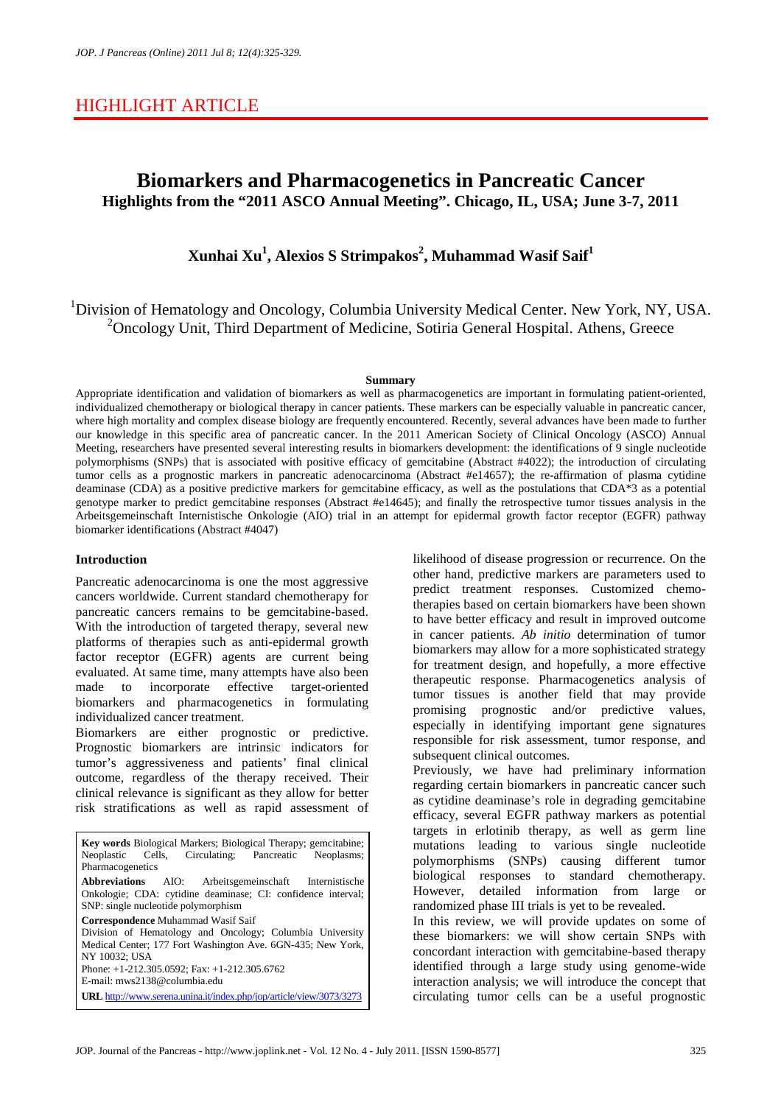# HIGHLIGHT ARTICLE

# **Biomarkers and Pharmacogenetics in Pancreatic Cancer Highlights from the "2011 ASCO Annual Meeting". Chicago, IL, USA; June 3-7, 2011**

**Xunhai Xu<sup>1</sup> , Alexios S Strimpakos<sup>2</sup> , Muhammad Wasif Saif<sup>1</sup>**

<sup>1</sup>Division of Hematology and Oncology, Columbia University Medical Center. New York, NY, USA. <sup>2</sup>Oncology Unit, Third Department of Medicine, Sotiria General Hospital. Athens, Greece

#### **Summary**

Appropriate identification and validation of biomarkers as well as pharmacogenetics are important in formulating patient-oriented, individualized chemotherapy or biological therapy in cancer patients. These markers can be especially valuable in pancreatic cancer, where high mortality and complex disease biology are frequently encountered. Recently, several advances have been made to further our knowledge in this specific area of pancreatic cancer. In the 2011 American Society of Clinical Oncology (ASCO) Annual Meeting, researchers have presented several interesting results in biomarkers development: the identifications of 9 single nucleotide polymorphisms (SNPs) that is associated with positive efficacy of gemcitabine (Abstract #4022); the introduction of circulating tumor cells as a prognostic markers in pancreatic adenocarcinoma (Abstract #e14657); the re-affirmation of plasma cytidine deaminase (CDA) as a positive predictive markers for gemcitabine efficacy, as well as the postulations that CDA\*3 as a potential genotype marker to predict gemcitabine responses (Abstract #e14645); and finally the retrospective tumor tissues analysis in the Arbeitsgemeinschaft Internistische Onkologie (AIO) trial in an attempt for epidermal growth factor receptor (EGFR) pathway biomarker identifications (Abstract #4047)

#### **Introduction**

Pancreatic adenocarcinoma is one the most aggressive cancers worldwide. Current standard chemotherapy for pancreatic cancers remains to be gemcitabine-based. With the introduction of targeted therapy, several new platforms of therapies such as anti-epidermal growth factor receptor (EGFR) agents are current being evaluated. At same time, many attempts have also been made to incorporate effective target-oriented biomarkers and pharmacogenetics in formulating individualized cancer treatment.

Biomarkers are either prognostic or predictive. Prognostic biomarkers are intrinsic indicators for tumor's aggressiveness and patients' final clinical outcome, regardless of the therapy received. Their clinical relevance is significant as they allow for better risk stratifications as well as rapid assessment of

**Key words** Biological Markers; Biological Therapy; gemcitabine; Neoplasms; Neoplasms; Neoplastic Cells, Circulating; Pancreatic Pharmacogenetics **Abbreviations** AIO: Arbeitsgemeinschaft Internistische Onkologie; CDA: cytidine deaminase; CI: confidence interval; SNP: single nucleotide polymorphism **Correspondence** Muhammad Wasif Saif Division of Hematology and Oncology; Columbia University Medical Center; 177 Fort Washington Ave. 6GN-435; New York, NY 10032; USA Phone: +1-212.305.0592; Fax: +1-212.305.6762 E-mail: mws2138@columbia.edu **URL** http://www.serena.unina.it/index.php/jop/article/view/3073/3273

likelihood of disease progression or recurrence. On the other hand, predictive markers are parameters used to predict treatment responses. Customized chemotherapies based on certain biomarkers have been shown to have better efficacy and result in improved outcome in cancer patients. *Ab initio* determination of tumor biomarkers may allow for a more sophisticated strategy for treatment design, and hopefully, a more effective therapeutic response. Pharmacogenetics analysis of tumor tissues is another field that may provide promising prognostic and/or predictive values, especially in identifying important gene signatures responsible for risk assessment, tumor response, and subsequent clinical outcomes.

Previously, we have had preliminary information regarding certain biomarkers in pancreatic cancer such as cytidine deaminase's role in degrading gemcitabine efficacy, several EGFR pathway markers as potential targets in erlotinib therapy, as well as germ line mutations leading to various single nucleotide polymorphisms (SNPs) causing different tumor biological responses to standard chemotherapy. However, detailed information from large or randomized phase III trials is yet to be revealed.

In this review, we will provide updates on some of these biomarkers: we will show certain SNPs with concordant interaction with gemcitabine-based therapy identified through a large study using genome-wide interaction analysis; we will introduce the concept that circulating tumor cells can be a useful prognostic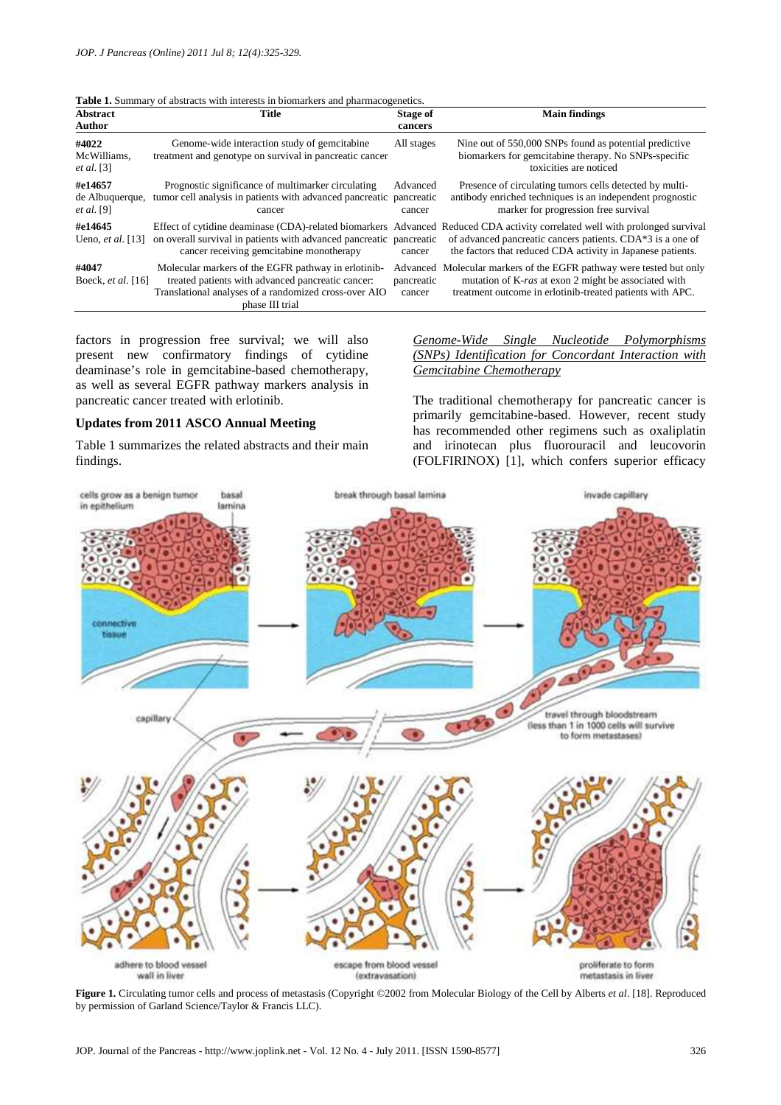| <b>Abstract</b><br>Author                       | <b>Title</b>                                                                                                                                                                         | Stage of<br>cancers              | <b>Main findings</b>                                                                                                                                                                                                                                     |
|-------------------------------------------------|--------------------------------------------------------------------------------------------------------------------------------------------------------------------------------------|----------------------------------|----------------------------------------------------------------------------------------------------------------------------------------------------------------------------------------------------------------------------------------------------------|
| #4022<br>McWilliams,<br>et al. [3]              | Genome-wide interaction study of gemeitabine<br>treatment and genotype on survival in pancreatic cancer                                                                              | All stages                       | Nine out of 550,000 SNPs found as potential predictive<br>biomarkers for gemeitabine therapy. No SNPs-specific<br>toxicities are noticed                                                                                                                 |
| #e14657<br>de Albuquerque,<br><i>et al.</i> [9] | Prognostic significance of multimarker circulating<br>tumor cell analysis in patients with advanced pancreatic pancreatic<br>cancer                                                  | Advanced<br>cancer               | Presence of circulating tumors cells detected by multi-<br>antibody enriched techniques is an independent prognostic<br>marker for progression free survival                                                                                             |
| #e14645<br>Ueno, et al. $[13]$                  | on overall survival in patients with advanced pancreatic pancreatic<br>cancer receiving gemcitabine monotherapy                                                                      | cancer                           | Effect of cytidine deaminase (CDA)-related biomarkers Advanced Reduced CDA activity correlated well with prolonged survival<br>of advanced pancreatic cancers patients. CDA*3 is a one of<br>the factors that reduced CDA activity in Japanese patients. |
| #4047<br>Boeck, <i>et al.</i> [16]              | Molecular markers of the EGFR pathway in erlotinib-<br>treated patients with advanced pancreatic cancer:<br>Translational analyses of a randomized cross-over AIO<br>phase III trial | Advanced<br>pancreatic<br>cancer | Molecular markers of the EGFR pathway were tested but only<br>mutation of K-ras at exon 2 might be associated with<br>treatment outcome in erlotinib-treated patients with APC.                                                                          |

**Table 1.** Summary of abstracts with interests in biomarkers and pharmaco

factors in progression free survival; we will also present new confirmatory findings of cytidine deaminase's role in gemcitabine-based chemotherapy, as well as several EGFR pathway markers analysis in pancreatic cancer treated with erlotinib.

### **Updates from 2011 ASCO Annual Meeting**

Table 1 summarizes the related abstracts and their main findings.

*Genome-Wide Single Nucleotide Polymorphisms (SNPs) Identification for Concordant Interaction with Gemcitabine Chemotherapy*

The traditional chemotherapy for pancreatic cancer is primarily gemcitabine-based. However, recent study has recommended other regimens such as oxaliplatin and irinotecan plus fluorouracil and leucovorin (FOLFIRINOX) [1], which confers superior efficacy



**Figure 1.** Circulating tumor cells and process of metastasis (Copyright ©2002 from Molecular Biology of the Cell by Alberts *et al*. [18]. Reproduced by permission of Garland Science/Taylor & Francis LLC).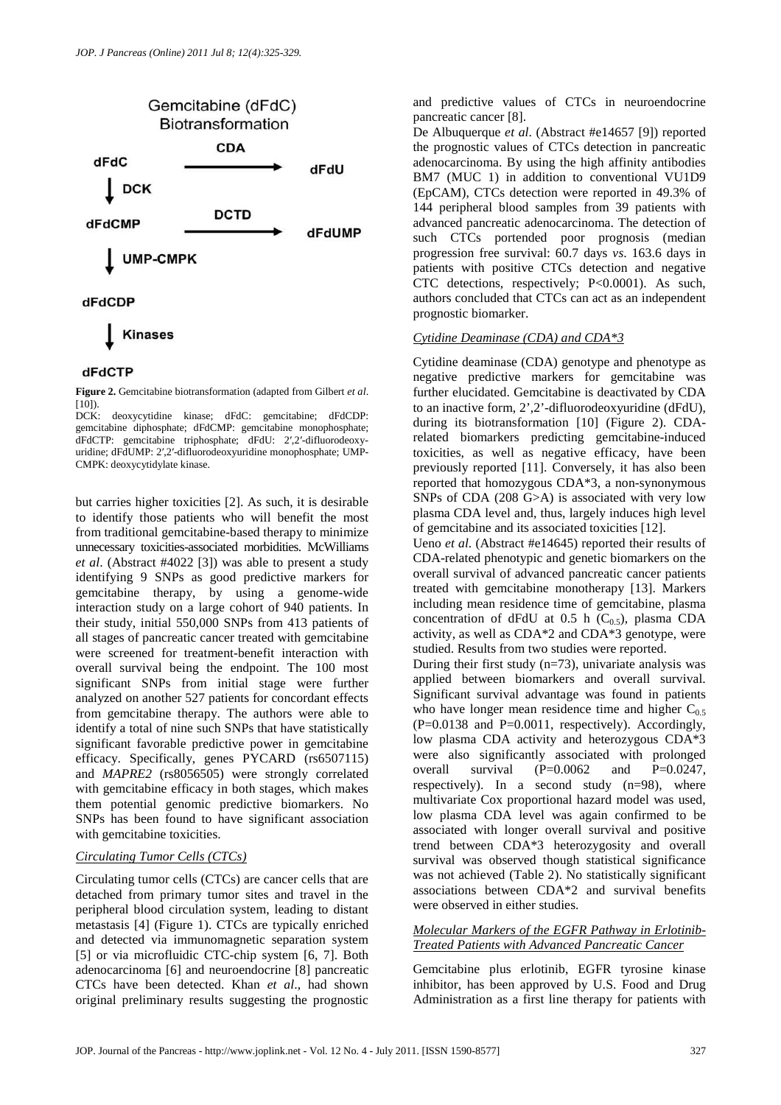

### dFdCTP

**Figure 2.** Gemcitabine biotransformation (adapted from Gilbert *et al*.

[10]).<br>DCK: deoxycytidine kinase; dFdC: gemcitabine; dFdCDP: gemcitabine diphosphate; dFdCMP: gemcitabine monophosphate; dFdCTP: gemcitabine triphosphate; dFdU: 2′,2′-difluorodeoxyuridine; dFdUMP: 2′,2′-difluorodeoxyuridine monophosphate; UMP-CMPK: deoxycytidylate kinase.

but carries higher toxicities [2]. As such, it is desirable to identify those patients who will benefit the most from traditional gemcitabine-based therapy to minimize unnecessary toxicities-associated morbidities. McWilliams *et al*. (Abstract #4022 [3]) was able to present a study identifying 9 SNPs as good predictive markers for gemcitabine therapy, by using a genome-wide interaction study on a large cohort of 940 patients. In their study, initial 550,000 SNPs from 413 patients of all stages of pancreatic cancer treated with gemcitabine were screened for treatment-benefit interaction with overall survival being the endpoint. The 100 most significant SNPs from initial stage were further analyzed on another 527 patients for concordant effects from gemcitabine therapy. The authors were able to identify a total of nine such SNPs that have statistically significant favorable predictive power in gemcitabine efficacy. Specifically, genes PYCARD (rs6507115) and *MAPRE2* (rs8056505) were strongly correlated with gemcitabine efficacy in both stages, which makes them potential genomic predictive biomarkers. No SNPs has been found to have significant association with gemcitabine toxicities.

## *Circulating Tumor Cells (CTCs)*

Circulating tumor cells (CTCs) are cancer cells that are detached from primary tumor sites and travel in the peripheral blood circulation system, leading to distant metastasis [4] (Figure 1). CTCs are typically enriched and detected via immunomagnetic separation system [5] or via microfluidic CTC-chip system [6, 7]. Both adenocarcinoma [6] and neuroendocrine [8] pancreatic CTCs have been detected. Khan *et al*., had shown original preliminary results suggesting the prognostic

and predictive values of CTCs in neuroendocrine pancreatic cancer [8].

De Albuquerque *et al*. (Abstract #e14657 [9]) reported the prognostic values of CTCs detection in pancreatic adenocarcinoma. By using the high affinity antibodies BM7 (MUC 1) in addition to conventional VU1D9 (EpCAM), CTCs detection were reported in 49.3% of 144 peripheral blood samples from 39 patients with advanced pancreatic adenocarcinoma. The detection of such CTCs portended poor prognosis (median progression free survival: 60.7 days *vs*. 163.6 days in patients with positive CTCs detection and negative CTC detections, respectively; P<0.0001). As such, authors concluded that CTCs can act as an independent prognostic biomarker.

## *Cytidine Deaminase (CDA) and CDA\*3*

Cytidine deaminase (CDA) genotype and phenotype as negative predictive markers for gemcitabine was further elucidated. Gemcitabine is deactivated by CDA to an inactive form, 2',2'-difluorodeoxyuridine (dFdU), during its biotransformation [10] (Figure 2). CDArelated biomarkers predicting gemcitabine-induced toxicities, as well as negative efficacy, have been previously reported [11]. Conversely, it has also been reported that homozygous CDA\*3, a non-synonymous SNPs of CDA (208 G>A) is associated with very low plasma CDA level and, thus, largely induces high level of gemcitabine and its associated toxicities [12].

Ueno *et al*. (Abstract #e14645) reported their results of CDA-related phenotypic and genetic biomarkers on the overall survival of advanced pancreatic cancer patients treated with gemcitabine monotherapy [13]. Markers including mean residence time of gemcitabine, plasma concentration of dFdU at 0.5 h  $(C_{0.5})$ , plasma CDA activity, as well as CDA\*2 and CDA\*3 genotype, were studied. Results from two studies were reported.

During their first study  $(n=73)$ , univariate analysis was applied between biomarkers and overall survival. Significant survival advantage was found in patients who have longer mean residence time and higher  $C_{0.5}$ (P=0.0138 and P=0.0011, respectively). Accordingly, low plasma CDA activity and heterozygous CDA\*3 were also significantly associated with prolonged overall survival  $(P=0.0062$  and  $P=0.0247$ , respectively). In a second study  $(n=98)$ , where multivariate Cox proportional hazard model was used, low plasma CDA level was again confirmed to be associated with longer overall survival and positive trend between CDA\*3 heterozygosity and overall survival was observed though statistical significance was not achieved (Table 2). No statistically significant associations between CDA\*2 and survival benefits were observed in either studies.

## *Molecular Markers of the EGFR Pathway in Erlotinib-Treated Patients with Advanced Pancreatic Cancer*

Gemcitabine plus erlotinib, EGFR tyrosine kinase inhibitor, has been approved by U.S. Food and Drug Administration as a first line therapy for patients with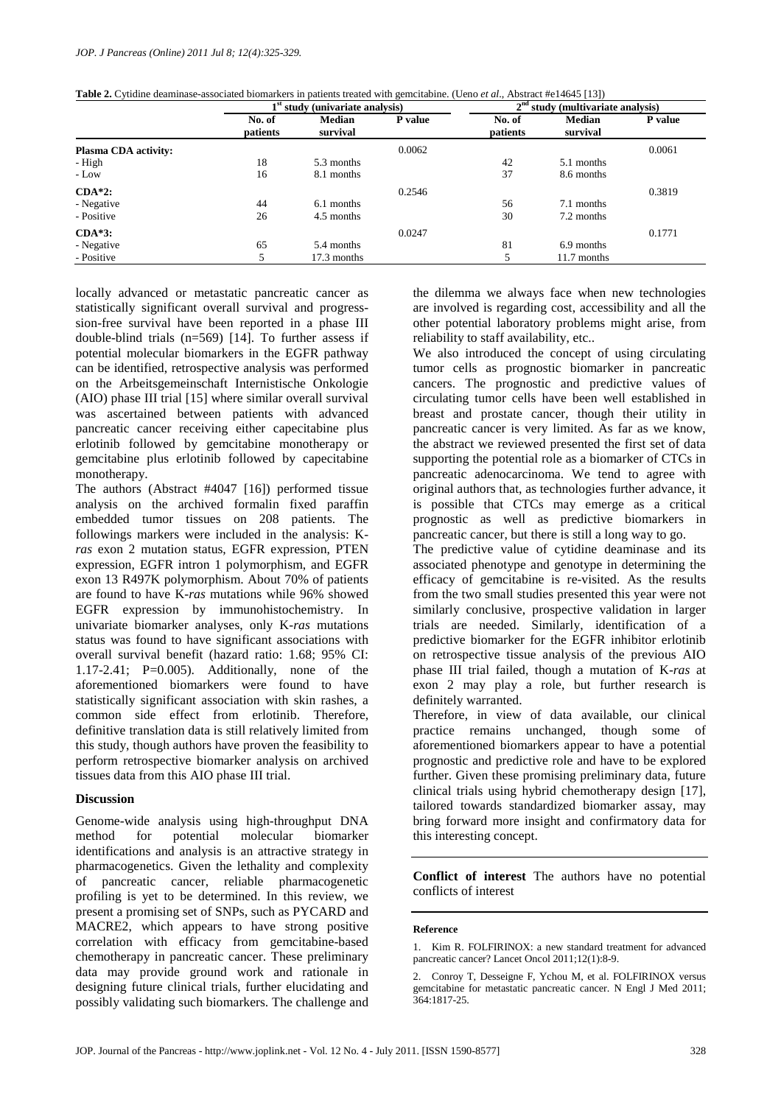|  |  | <b>Table 2.</b> Cytidine deaminase-associated biomarkers in patients treated with gemcitabine. (Ueno <i>et al.</i> , Abstract #e14645 [13]) |
|--|--|---------------------------------------------------------------------------------------------------------------------------------------------|
|  |  |                                                                                                                                             |

|                             | $1st$ study (univariate analysis) |               |         | 2 <sup>nd</sup><br>study (multivariate analysis) |               |         |
|-----------------------------|-----------------------------------|---------------|---------|--------------------------------------------------|---------------|---------|
|                             | No. of                            | <b>Median</b> | P value | No. of                                           | <b>Median</b> | P value |
|                             | patients                          | survival      |         | patients                                         | survival      |         |
| <b>Plasma CDA activity:</b> |                                   |               | 0.0062  |                                                  |               | 0.0061  |
| - High                      | 18                                | 5.3 months    |         | 42                                               | 5.1 months    |         |
| - Low                       | 16                                | 8.1 months    |         | 37                                               | 8.6 months    |         |
| $CDA*2$ :                   |                                   |               | 0.2546  |                                                  |               | 0.3819  |
| - Negative                  | 44                                | 6.1 months    |         | 56                                               | 7.1 months    |         |
| - Positive                  | 26                                | 4.5 months    |         | 30                                               | 7.2 months    |         |
| $CDA*3:$                    |                                   |               | 0.0247  |                                                  |               | 0.1771  |
| - Negative                  | 65                                | 5.4 months    |         | 81                                               | 6.9 months    |         |
| - Positive                  |                                   | 17.3 months   |         |                                                  | 11.7 months   |         |

locally advanced or metastatic pancreatic cancer as statistically significant overall survival and progresssion-free survival have been reported in a phase III double-blind trials (n=569) [14]. To further assess if potential molecular biomarkers in the EGFR pathway can be identified, retrospective analysis was performed on the Arbeitsgemeinschaft Internistische Onkologie (AIO) phase III trial [15] where similar overall survival was ascertained between patients with advanced pancreatic cancer receiving either capecitabine plus erlotinib followed by gemcitabine monotherapy or gemcitabine plus erlotinib followed by capecitabine monotherapy.

The authors (Abstract #4047 [16]) performed tissue analysis on the archived formalin fixed paraffin embedded tumor tissues on 208 patients. The followings markers were included in the analysis: K*ras* exon 2 mutation status, EGFR expression, PTEN expression, EGFR intron 1 polymorphism, and EGFR exon 13 R497K polymorphism. About 70% of patients are found to have K-*ras* mutations while 96% showed EGFR expression by immunohistochemistry. In univariate biomarker analyses, only K-*ras* mutations status was found to have significant associations with overall survival benefit (hazard ratio: 1.68; 95% CI: 1.17-2.41; P=0.005). Additionally, none of the aforementioned biomarkers were found to have statistically significant association with skin rashes, a common side effect from erlotinib. Therefore, definitive translation data is still relatively limited from this study, though authors have proven the feasibility to perform retrospective biomarker analysis on archived tissues data from this AIO phase III trial.

#### **Discussion**

Genome-wide analysis using high-throughput DNA method for potential molecular biomarker identifications and analysis is an attractive strategy in pharmacogenetics. Given the lethality and complexity of pancreatic cancer, reliable pharmacogenetic profiling is yet to be determined. In this review, we present a promising set of SNPs, such as PYCARD and MACRE2, which appears to have strong positive correlation with efficacy from gemcitabine-based chemotherapy in pancreatic cancer. These preliminary data may provide ground work and rationale in designing future clinical trials, further elucidating and possibly validating such biomarkers. The challenge and

the dilemma we always face when new technologies are involved is regarding cost, accessibility and all the other potential laboratory problems might arise, from reliability to staff availability, etc..

We also introduced the concept of using circulating tumor cells as prognostic biomarker in pancreatic cancers. The prognostic and predictive values of circulating tumor cells have been well established in breast and prostate cancer, though their utility in pancreatic cancer is very limited. As far as we know, the abstract we reviewed presented the first set of data supporting the potential role as a biomarker of CTCs in pancreatic adenocarcinoma. We tend to agree with original authors that, as technologies further advance, it is possible that CTCs may emerge as a critical prognostic as well as predictive biomarkers in pancreatic cancer, but there is still a long way to go.

The predictive value of cytidine deaminase and its associated phenotype and genotype in determining the efficacy of gemcitabine is re-visited. As the results from the two small studies presented this year were not similarly conclusive, prospective validation in larger trials are needed. Similarly, identification of a predictive biomarker for the EGFR inhibitor erlotinib on retrospective tissue analysis of the previous AIO phase III trial failed, though a mutation of K-*ras* at exon 2 may play a role, but further research is definitely warranted.

Therefore, in view of data available, our clinical practice remains unchanged, though some of aforementioned biomarkers appear to have a potential prognostic and predictive role and have to be explored further. Given these promising preliminary data, future clinical trials using hybrid chemotherapy design [17], tailored towards standardized biomarker assay, may bring forward more insight and confirmatory data for this interesting concept.

**Conflict of interest** The authors have no potential conflicts of interest

#### **Reference**

<sup>1.</sup> Kim R. FOLFIRINOX: a new standard treatment for advanced pancreatic cancer? Lancet Oncol 2011;12(1):8-9.

<sup>2.</sup> Conroy T, Desseigne F, Ychou M, et al. FOLFIRINOX versus gemcitabine for metastatic pancreatic cancer. N Engl J Med 2011; 364:1817-25.